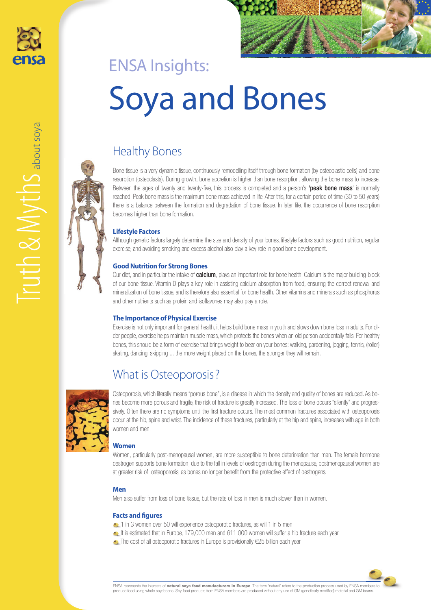



# Healthy Bones

Bone tissue is a very dynamic tissue, continuously remodelling itself through bone formation (by osteoblastic cells) and bone resorption (osteoclasts). During growth, bone accretion is higher than bone resorption, allowing the bone mass to increase. Between the ages of twenty and twenty-five, this process is completed and a person's "peak bone mass' is normally reached. Peak bone mass is the maximum bone mass achieved in life. After this, for a certain period of time (30 to 50 years) there is a balance between the formation and degradation of bone tissue. In later life, the occurrence of bone resorption becomes higher than bone formation.

# **Lifestyle Factors**

Although genetic factors largely determine the size and density of your bones, lifestyle factors such as good nutrition, regular exercise, and avoiding smoking and excess alcohol also play a key role in good bone development.

# **Good Nutrition for Strong Bones**

Our diet, and in particular the intake of calcium, plays an important role for bone health. Calcium is the major building-block of our bone tissue. Vitamin D plays a key role in assisting calcium absorption from food, ensuring the correct renewal and mineralization of bone tissue, and is therefore also essential for bone health. Other vitamins and minerals such as phosphorus and other nutrients such as protein and isoflavones may also play a role.

### **The Importance of Physical Exercise**

Exercise is not only important for general health, it helps build bone mass in youth and slows down bone loss in adults. For older people, exercise helps maintain muscle mass, which protects the bones when an old person accidentally falls. For healthy bones, this should be a form of exercise that brings weight to bear on your bones: walking, gardening, jogging, tennis, (roller) skating, dancing, skipping ... the more weight placed on the bones, the stronger they will remain.

# What is Osteoporosis?



Osteoporosis, which literally means "porous bone", is a disease in which the density and quality of bones are reduced. As bones become more porous and fragile, the risk of fracture is greatly increased. The loss of bone occurs "silently" and progressively. Often there are no symptoms until the first fracture occurs. The most common fractures associated with osteoporosis occur at the hip, spine and wrist. The incidence of these fractures, particularly at the hip and spine, increases with age in both women and men.

### **Women**

Women, particularly post-menopausal women, are more susceptible to bone deterioration than men. The female hormone oestrogen supports bone formation; due to the fall in levels of oestrogen during the menopause, postmenopausal women are at greater risk of osteoporosis, as bones no longer benefit from the protective effect of oestrogens.

# **Men**

Men also suffer from loss of bone tissue, but the rate of loss in men is much slower than in women.

### **Facts and figures**

- 1 in 3 women over 50 will experience osteoporotic fractures, as will 1 in 5 men
- It is estimated that in Europe, 179,000 men and 611,000 women will suffer a hip fracture each year
- •• The cost of all osteoporotic fractures in Europe is provisionally €25 billion each year